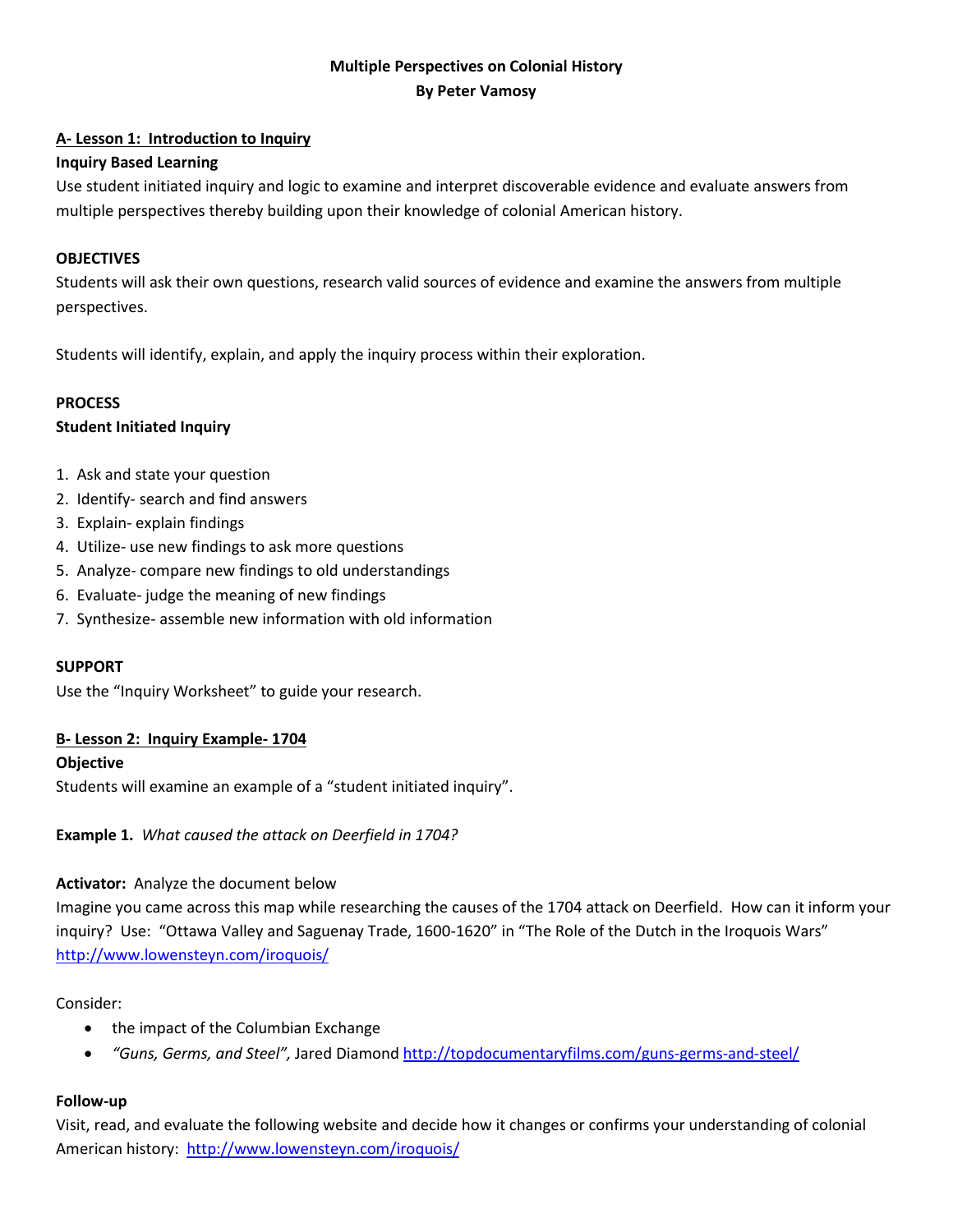# **Multiple Perspectives on Colonial History By Peter Vamosy**

## **A- Lesson 1: Introduction to Inquiry**

## **Inquiry Based Learning**

Use student initiated inquiry and logic to examine and interpret discoverable evidence and evaluate answers from multiple perspectives thereby building upon their knowledge of colonial American history.

## **OBJECTIVES**

Students will ask their own questions, research valid sources of evidence and examine the answers from multiple perspectives.

Students will identify, explain, and apply the inquiry process within their exploration.

## **PROCESS**

## **Student Initiated Inquiry**

- 1. Ask and state your question
- 2. Identify- search and find answers
- 3. Explain- explain findings
- 4. Utilize- use new findings to ask more questions
- 5. Analyze- compare new findings to old understandings
- 6. Evaluate- judge the meaning of new findings
- 7. Synthesize- assemble new information with old information

#### **SUPPORT**

Use the "Inquiry Worksheet" to guide your research.

#### **B- Lesson 2: Inquiry Example- 1704**

#### **Objective**

Students will examine an example of a "student initiated inquiry".

# **Example 1.** *What caused the attack on Deerfield in 1704?*

#### **Activator:** Analyze the document below

Imagine you came across this map while researching the causes of the 1704 attack on Deerfield. How can it inform your inquiry? Use: "Ottawa Valley and Saguenay Trade, 1600-1620" in "The Role of the Dutch in the Iroquois Wars" <http://www.lowensteyn.com/iroquois/>

#### Consider:

- the impact of the Columbian Exchange
- *"Guns, Germs, and Steel",* Jared Diamond<http://topdocumentaryfilms.com/guns-germs-and-steel/>

#### **Follow-up**

Visit, read, and evaluate the following website and decide how it changes or confirms your understanding of colonial American history: <http://www.lowensteyn.com/iroquois/>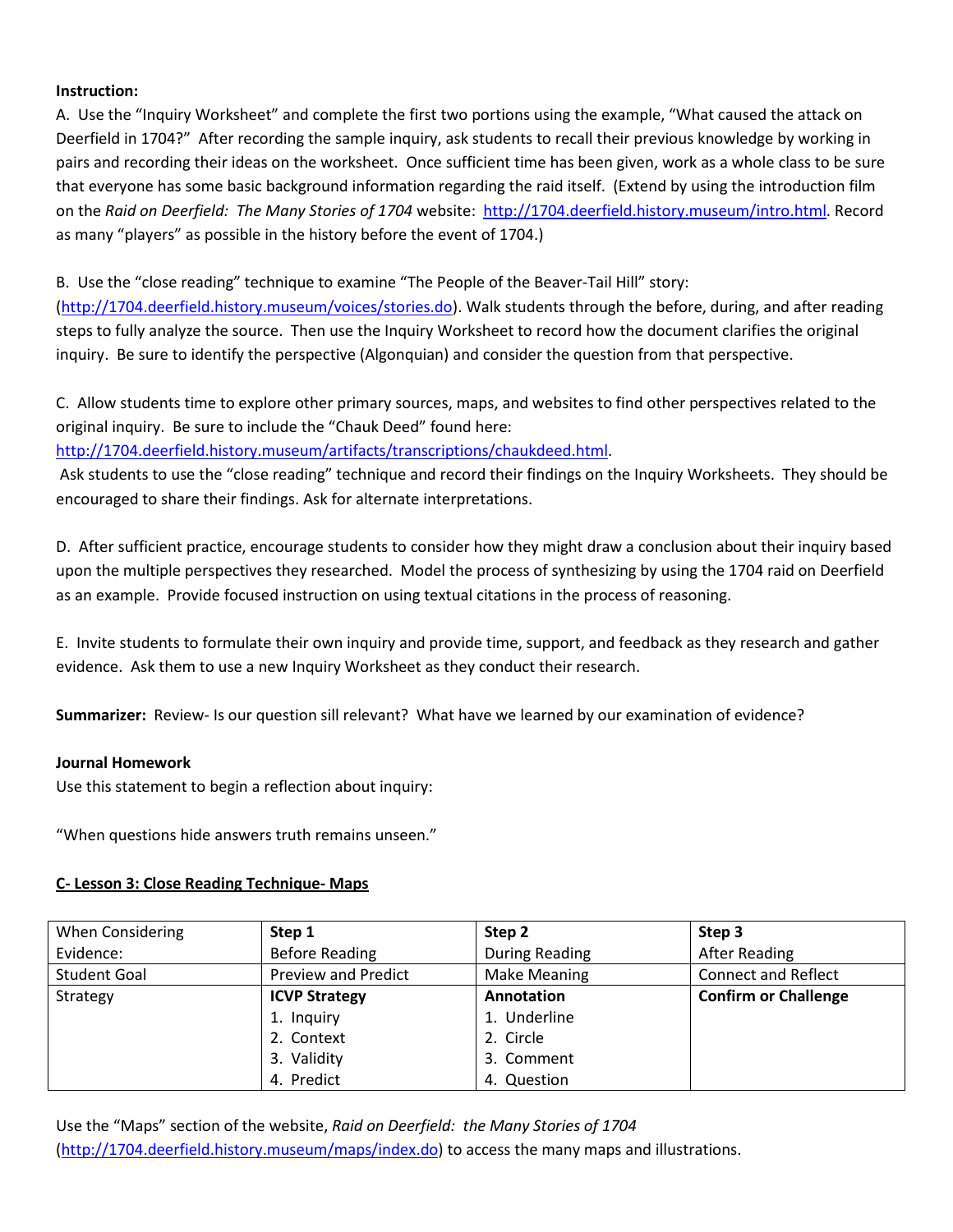#### **Instruction:**

A. Use the "Inquiry Worksheet" and complete the first two portions using the example, "What caused the attack on Deerfield in 1704?" After recording the sample inquiry, ask students to recall their previous knowledge by working in pairs and recording their ideas on the worksheet. Once sufficient time has been given, work as a whole class to be sure that everyone has some basic background information regarding the raid itself. (Extend by using the introduction film on the *Raid on Deerfield: The Many Stories of 1704* website: [http://1704.deerfield.history.museum/intro.html.](http://1704.deerfield.history.museum/intro.html) Record as many "players" as possible in the history before the event of 1704.)

B. Use the "close reading" technique to examine "The People of the Beaver-Tail Hill" story:

[\(http://1704.deerfield.history.museum/voices/stories.do\)](http://1704.deerfield.history.museum/voices/stories.do). Walk students through the before, during, and after reading steps to fully analyze the source. Then use the Inquiry Worksheet to record how the document clarifies the original inquiry. Be sure to identify the perspective (Algonquian) and consider the question from that perspective.

C. Allow students time to explore other primary sources, maps, and websites to find other perspectives related to the original inquiry. Be sure to include the "Chauk Deed" found here:

[http://1704.deerfield.history.museum/artifacts/transcriptions/chaukdeed.html.](http://1704.deerfield.history.museum/artifacts/transcriptions/chaukdeed.html)

Ask students to use the "close reading" technique and record their findings on the Inquiry Worksheets. They should be encouraged to share their findings. Ask for alternate interpretations.

D. After sufficient practice, encourage students to consider how they might draw a conclusion about their inquiry based upon the multiple perspectives they researched. Model the process of synthesizing by using the 1704 raid on Deerfield as an example. Provide focused instruction on using textual citations in the process of reasoning.

E. Invite students to formulate their own inquiry and provide time, support, and feedback as they research and gather evidence. Ask them to use a new Inquiry Worksheet as they conduct their research.

**Summarizer:** Review- Is our question sill relevant? What have we learned by our examination of evidence?

#### **Journal Homework**

Use this statement to begin a reflection about inquiry:

"When questions hide answers truth remains unseen."

#### **C- Lesson 3: Close Reading Technique- Maps**

| When Considering    | Step 1                     | Step 2                | Step 3                      |
|---------------------|----------------------------|-----------------------|-----------------------------|
| Evidence:           | <b>Before Reading</b>      | <b>During Reading</b> | <b>After Reading</b>        |
| <b>Student Goal</b> | <b>Preview and Predict</b> | <b>Make Meaning</b>   | <b>Connect and Reflect</b>  |
| Strategy            | <b>ICVP Strategy</b>       | Annotation            | <b>Confirm or Challenge</b> |
|                     | 1. Inquiry                 | 1. Underline          |                             |
|                     | 2. Context                 | 2. Circle             |                             |
|                     | 3. Validity                | 3. Comment            |                             |
|                     | 4. Predict                 | 4. Question           |                             |

Use the "Maps" section of the website, *Raid on Deerfield: the Many Stories of 1704*  [\(http://1704.deerfield.history.museum/maps/index.do\)](http://1704.deerfield.history.museum/maps/index.do) to access the many maps and illustrations.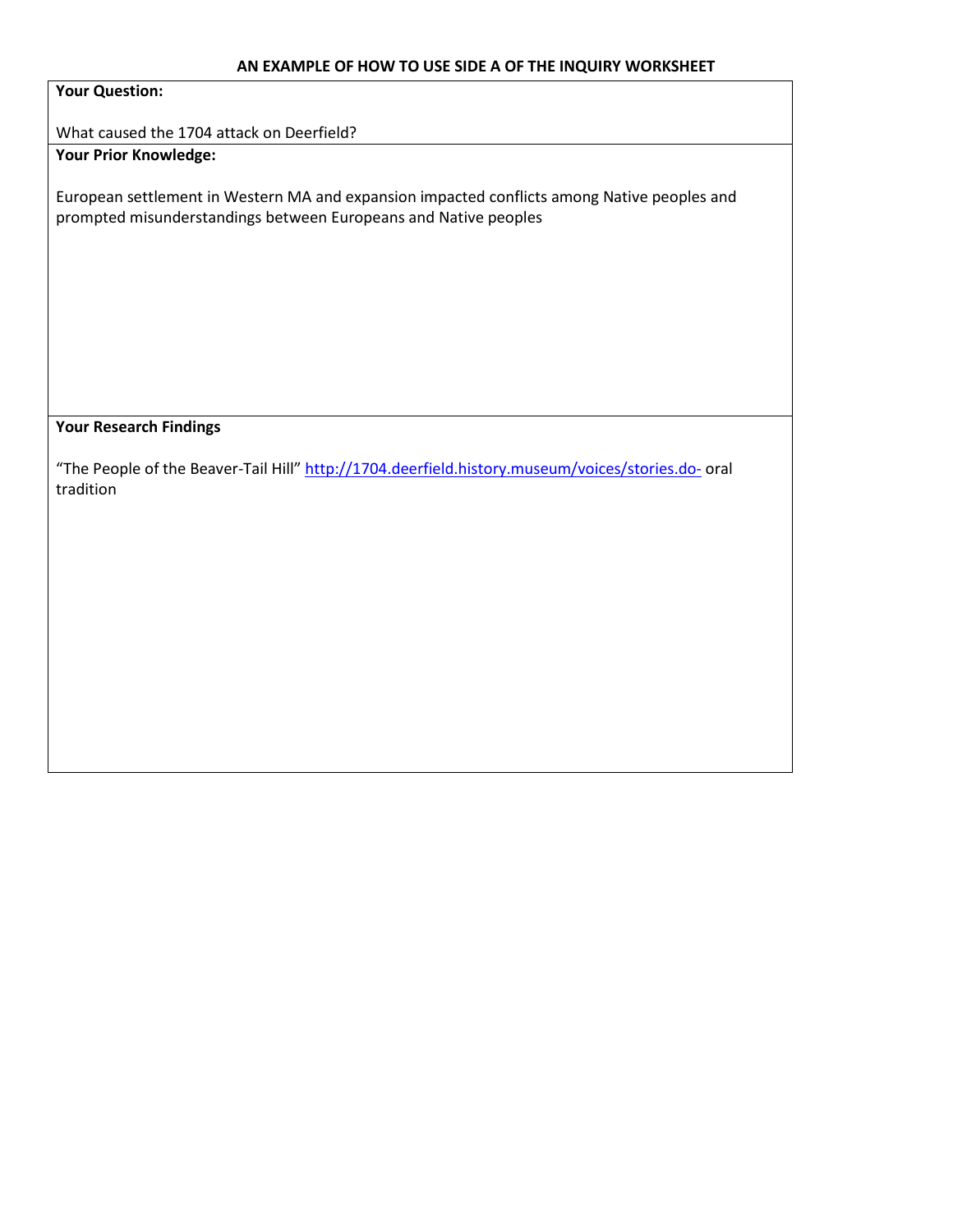#### **AN EXAMPLE OF HOW TO USE SIDE A OF THE INQUIRY WORKSHEET**

#### **Your Question:**

What caused the 1704 attack on Deerfield?

**Your Prior Knowledge:**

European settlement in Western MA and expansion impacted conflicts among Native peoples and prompted misunderstandings between Europeans and Native peoples

#### **Your Research Findings**

"The People of the Beaver-Tail Hill"<http://1704.deerfield.history.museum/voices/stories.do-> oral tradition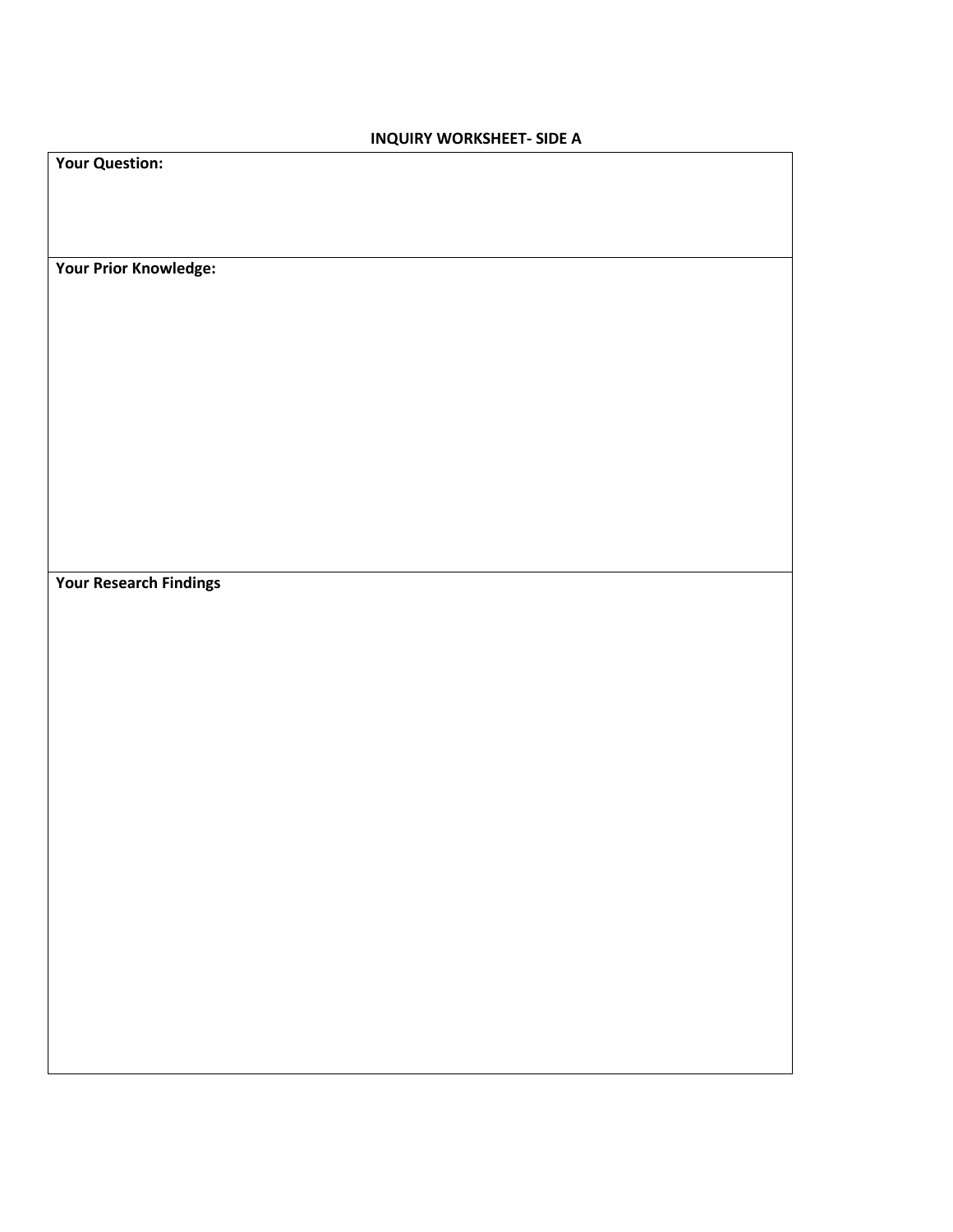## **INQUIRY WORKSHEET- SIDE A**

| <b>Your Question:</b>         |  |  |  |
|-------------------------------|--|--|--|
|                               |  |  |  |
| Your Prior Knowledge:         |  |  |  |
|                               |  |  |  |
|                               |  |  |  |
|                               |  |  |  |
|                               |  |  |  |
|                               |  |  |  |
|                               |  |  |  |
|                               |  |  |  |
| <b>Your Research Findings</b> |  |  |  |
|                               |  |  |  |
|                               |  |  |  |
|                               |  |  |  |
|                               |  |  |  |
|                               |  |  |  |
|                               |  |  |  |
|                               |  |  |  |
|                               |  |  |  |
|                               |  |  |  |
|                               |  |  |  |
|                               |  |  |  |
|                               |  |  |  |